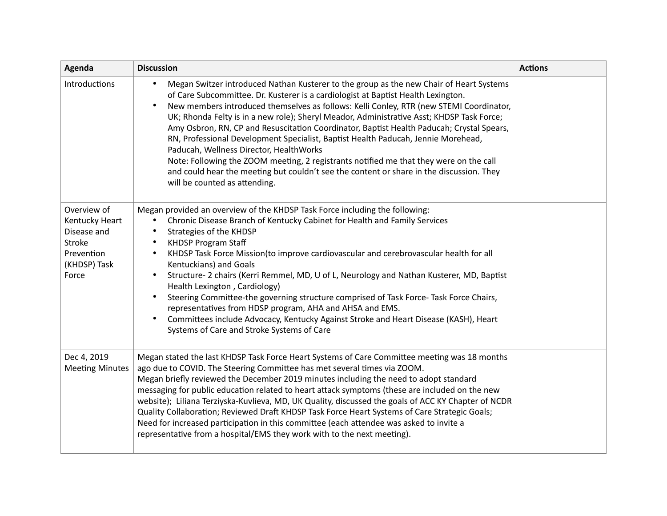| Agenda                                                                                        | <b>Discussion</b>                                                                                                                                                                                                                                                                                                                                                                                                                                                                                                                                                                                                                                                                                                                                                                                                                     | <b>Actions</b> |
|-----------------------------------------------------------------------------------------------|---------------------------------------------------------------------------------------------------------------------------------------------------------------------------------------------------------------------------------------------------------------------------------------------------------------------------------------------------------------------------------------------------------------------------------------------------------------------------------------------------------------------------------------------------------------------------------------------------------------------------------------------------------------------------------------------------------------------------------------------------------------------------------------------------------------------------------------|----------------|
| Introductions                                                                                 | Megan Switzer introduced Nathan Kusterer to the group as the new Chair of Heart Systems<br>$\bullet$<br>of Care Subcommittee. Dr. Kusterer is a cardiologist at Baptist Health Lexington.<br>New members introduced themselves as follows: Kelli Conley, RTR (new STEMI Coordinator,<br>UK; Rhonda Felty is in a new role); Sheryl Meador, Administrative Asst; KHDSP Task Force;<br>Amy Osbron, RN, CP and Resuscitation Coordinator, Baptist Health Paducah; Crystal Spears,<br>RN, Professional Development Specialist, Baptist Health Paducah, Jennie Morehead,<br>Paducah, Wellness Director, HealthWorks<br>Note: Following the ZOOM meeting, 2 registrants notified me that they were on the call<br>and could hear the meeting but couldn't see the content or share in the discussion. They<br>will be counted as attending. |                |
| Overview of<br>Kentucky Heart<br>Disease and<br>Stroke<br>Prevention<br>(KHDSP) Task<br>Force | Megan provided an overview of the KHDSP Task Force including the following:<br>Chronic Disease Branch of Kentucky Cabinet for Health and Family Services<br>$\bullet$<br>Strategies of the KHDSP<br><b>KHDSP Program Staff</b><br>KHDSP Task Force Mission(to improve cardiovascular and cerebrovascular health for all<br>$\bullet$<br>Kentuckians) and Goals<br>Structure- 2 chairs (Kerri Remmel, MD, U of L, Neurology and Nathan Kusterer, MD, Baptist<br>$\bullet$<br>Health Lexington, Cardiology)<br>Steering Committee-the governing structure comprised of Task Force- Task Force Chairs,<br>representatives from HDSP program, AHA and AHSA and EMS.<br>Committees include Advocacy, Kentucky Against Stroke and Heart Disease (KASH), Heart<br>$\bullet$<br>Systems of Care and Stroke Systems of Care                    |                |
| Dec 4, 2019<br><b>Meeting Minutes</b>                                                         | Megan stated the last KHDSP Task Force Heart Systems of Care Committee meeting was 18 months<br>ago due to COVID. The Steering Committee has met several times via ZOOM.<br>Megan briefly reviewed the December 2019 minutes including the need to adopt standard<br>messaging for public education related to heart attack symptoms (these are included on the new<br>website); Liliana Terziyska-Kuvlieva, MD, UK Quality, discussed the goals of ACC KY Chapter of NCDR<br>Quality Collaboration; Reviewed Draft KHDSP Task Force Heart Systems of Care Strategic Goals;<br>Need for increased participation in this committee (each attendee was asked to invite a<br>representative from a hospital/EMS they work with to the next meeting).                                                                                     |                |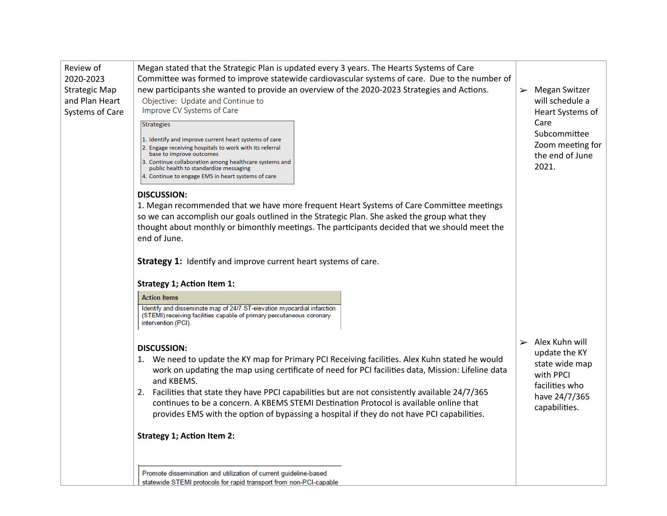| Review of<br>2020-2023<br><b>Strategic Map</b><br>and Plan Heart<br>Systems of Care | Megan stated that the Strategic Plan is updated every 3 years. The Hearts Systems of Care<br>Committee was formed to improve statewide cardiovascular systems of care. Due to the number of<br>new participants she wanted to provide an overview of the 2020-2023 Strategies and Actions.<br>Objective: Update and Continue to<br>Improve CV Systems of Care<br>Strategies<br>1. Identify and improve current heart systems of care<br>2. Engage receiving hospitals to work with its referral<br>base to improve outcomes<br>3. Continue collaboration among healthcare systems and<br>public health to standardize messaging | Megan Switzer<br>$\blacktriangleright$<br>will schedule a<br>Heart Systems of<br>Care<br>Subcommittee<br>Zoom meeting for<br>the end of June<br>2021. |
|-------------------------------------------------------------------------------------|---------------------------------------------------------------------------------------------------------------------------------------------------------------------------------------------------------------------------------------------------------------------------------------------------------------------------------------------------------------------------------------------------------------------------------------------------------------------------------------------------------------------------------------------------------------------------------------------------------------------------------|-------------------------------------------------------------------------------------------------------------------------------------------------------|
|                                                                                     | 4. Continue to engage EMS in heart systems of care<br><b>DISCUSSION:</b><br>1. Megan recommended that we have more frequent Heart Systems of Care Committee meetings<br>so we can accomplish our goals outlined in the Strategic Plan. She asked the group what they<br>thought about monthly or bimonthly meetings. The participants decided that we should meet the<br>end of June.                                                                                                                                                                                                                                           |                                                                                                                                                       |
|                                                                                     | Strategy 1: Identify and improve current heart systems of care.<br><b>Strategy 1; Action Item 1:</b>                                                                                                                                                                                                                                                                                                                                                                                                                                                                                                                            |                                                                                                                                                       |
|                                                                                     | <b>Action Items</b>                                                                                                                                                                                                                                                                                                                                                                                                                                                                                                                                                                                                             |                                                                                                                                                       |
|                                                                                     | Identify and disseminate map of 24/7 ST-elevation myocardial infarction<br>(STEMI) receiving facilities capable of primary percutaneous coronary<br>intervention (PCI).                                                                                                                                                                                                                                                                                                                                                                                                                                                         |                                                                                                                                                       |
|                                                                                     | <b>DISCUSSION:</b><br>1. We need to update the KY map for Primary PCI Receiving facilities. Alex Kuhn stated he would<br>work on updating the map using certificate of need for PCI facilities data, Mission: Lifeline data<br>and KBEMS.<br>2. Facilities that state they have PPCI capabilities but are not consistently available 24/7/365<br>continues to be a concern. A KBEMS STEMI Destination Protocol is available online that<br>provides EMS with the option of bypassing a hospital if they do not have PCI capabilities.                                                                                           | $\triangleright$ Alex Kuhn will<br>update the KY<br>state wide map<br>with PPCI<br>facilities who<br>have 24/7/365<br>capabilities.                   |
|                                                                                     | <b>Strategy 1; Action Item 2:</b>                                                                                                                                                                                                                                                                                                                                                                                                                                                                                                                                                                                               |                                                                                                                                                       |
|                                                                                     | Promote dissemination and utilization of current guideline-based                                                                                                                                                                                                                                                                                                                                                                                                                                                                                                                                                                |                                                                                                                                                       |
|                                                                                     | statewide STEMI protocols for rapid transport from non-PCI-capable                                                                                                                                                                                                                                                                                                                                                                                                                                                                                                                                                              |                                                                                                                                                       |